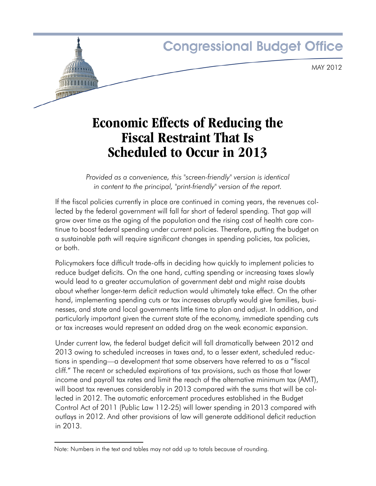# **Congressional Budget Office** MAY 2012

## **Economic Effects of Reducing the Fiscal Restraint That Is Scheduled to Occur in 2013**

*Provided as a convenience, this "screen-friendly" version is identical in content to the principal, "print-friendly" version of the report.*

If the fiscal policies currently in place are continued in coming years, the revenues collected by the federal government will fall far short of federal spending. That gap will grow over time as the aging of the population and the rising cost of health care continue to boost federal spending under current policies. Therefore, putting the budget on a sustainable path will require significant changes in spending policies, tax policies, or both.

Policymakers face difficult trade-offs in deciding how quickly to implement policies to reduce budget deficits. On the one hand, cutting spending or increasing taxes slowly would lead to a greater accumulation of government debt and might raise doubts about whether longer-term deficit reduction would ultimately take effect. On the other hand, implementing spending cuts or tax increases abruptly would give families, businesses, and state and local governments little time to plan and adjust. In addition, and particularly important given the current state of the economy, immediate spending cuts or tax increases would represent an added drag on the weak economic expansion.

Under current law, the federal budget deficit will fall dramatically between 2012 and 2013 owing to scheduled increases in taxes and, to a lesser extent, scheduled reductions in spending—a development that some observers have referred to as a "fiscal cliff." The recent or scheduled expirations of tax provisions, such as those that lower income and payroll tax rates and limit the reach of the alternative minimum tax (AMT), will boost tax revenues considerably in 2013 compared with the sums that will be collected in 2012. The automatic enforcement procedures established in the Budget Control Act of 2011 (Public Law 112-25) will lower spending in 2013 compared with outlays in 2012. And other provisions of law will generate additional deficit reduction in 2013.

Note: Numbers in the text and tables may not add up to totals because of rounding.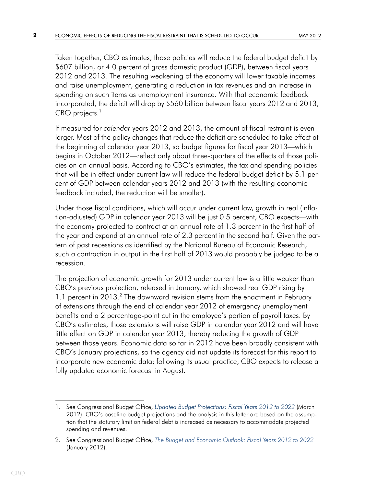Taken together, CBO estimates, those policies will reduce the federal budget deficit by \$607 billion, or 4.0 percent of gross domestic product (GDP), between fiscal years 2012 and 2013. The resulting weakening of the economy will lower taxable incomes and raise unemployment, generating a reduction in tax revenues and an increase in spending on such items as unemployment insurance. With that economic feedback incorporated, the deficit will drop by \$560 billion between fiscal years 2012 and 2013,  $CBO$  projects.<sup>1</sup>

If measured for *calendar* years 2012 and 2013, the amount of fiscal restraint is even larger. Most of the policy changes that reduce the deficit are scheduled to take effect at the beginning of calendar year 2013, so budget figures for fiscal year 2013—which begins in October 2012—reflect only about three-quarters of the effects of those policies on an annual basis. According to CBO's estimates, the tax and spending policies that will be in effect under current law will reduce the federal budget deficit by 5.1 percent of GDP between calendar years 2012 and 2013 (with the resulting economic feedback included, the reduction will be smaller).

Under those fiscal conditions, which will occur under current law, growth in real (inflation-adjusted) GDP in calendar year 2013 will be just 0.5 percent, CBO expects—with the economy projected to contract at an annual rate of 1.3 percent in the first half of the year and expand at an annual rate of 2.3 percent in the second half. Given the pattern of past recessions as identified by the National Bureau of Economic Research, such a contraction in output in the first half of 2013 would probably be judged to be a recession.

The projection of economic growth for 2013 under current law is a little weaker than CBO's previous projection, released in January, which showed real GDP rising by 1.1 percent in 2013.<sup>2</sup> The downward revision stems from the enactment in February of extensions through the end of calendar year 2012 of emergency unemployment benefits and a 2 percentage-point cut in the employee's portion of payroll taxes. By CBO's estimates, those extensions will raise GDP in calendar year 2012 and will have little effect on GDP in calendar year 2013, thereby reducing the growth of GDP between those years. Economic data so far in 2012 have been broadly consistent with CBO's January projections, so the agency did not update its forecast for this report to incorporate new economic data; following its usual practice, CBO expects to release a fully updated economic forecast in August.

<sup>1.</sup> See Congressional Budget Office, *[Updated Budget Projections: Fiscal Years 2012 to 2022](http://www.cbo.gov/publication/43119)* (March 2012). CBO's baseline budget projections and the analysis in this letter are based on the assumption that the statutory limit on federal debt is increased as necessary to accommodate projected spending and revenues.

<sup>2.</sup> See Congressional Budget Office, *[The Budget and Economic Outlook: Fiscal Years 2012 to 2022](http://www.cbo.gov/publication/42905)* (January 2012).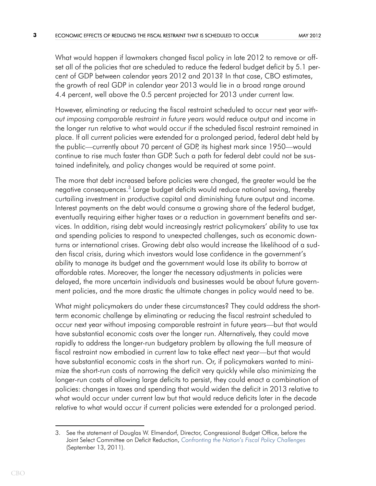What would happen if lawmakers changed fiscal policy in late 2012 to remove or offset all of the policies that are scheduled to reduce the federal budget deficit by 5.1 percent of GDP between calendar years 2012 and 2013? In that case, CBO estimates, the growth of real GDP in calendar year 2013 would lie in a broad range around 4.4 percent, well above the 0.5 percent projected for 2013 under current law.

However, eliminating or reducing the fiscal restraint scheduled to occur next year *without imposing comparable restraint in future years* would reduce output and income in the longer run relative to what would occur if the scheduled fiscal restraint remained in place. If all current policies were extended for a prolonged period, federal debt held by the public—currently about 70 percent of GDP, its highest mark since 1950—would continue to rise much faster than GDP. Such a path for federal debt could not be sustained indefinitely, and policy changes would be required at some point.

The more that debt increased before policies were changed, the greater would be the negative consequences.<sup>3</sup> Large budget deficits would reduce national saving, thereby curtailing investment in productive capital and diminishing future output and income. Interest payments on the debt would consume a growing share of the federal budget, eventually requiring either higher taxes or a reduction in government benefits and services. In addition, rising debt would increasingly restrict policymakers' ability to use tax and spending policies to respond to unexpected challenges, such as economic downturns or international crises. Growing debt also would increase the likelihood of a sudden fiscal crisis, during which investors would lose confidence in the government's ability to manage its budget and the government would lose its ability to borrow at affordable rates. Moreover, the longer the necessary adjustments in policies were delayed, the more uncertain individuals and businesses would be about future government policies, and the more drastic the ultimate changes in policy would need to be.

What might policymakers do under these circumstances? They could address the shortterm economic challenge by eliminating or reducing the fiscal restraint scheduled to occur next year without imposing comparable restraint in future years—but that would have substantial economic costs over the longer run. Alternatively, they could move rapidly to address the longer-run budgetary problem by allowing the full measure of fiscal restraint now embodied in current law to take effect next year—but that would have substantial economic costs in the short run. Or, if policymakers wanted to minimize the short-run costs of narrowing the deficit very quickly while also minimizing the longer-run costs of allowing large deficits to persist, they could enact a combination of policies: changes in taxes and spending that would widen the deficit in 2013 relative to what would occur under current law but that would reduce deficits later in the decade relative to what would occur if current policies were extended for a prolonged period.

<sup>3.</sup> See the statement of Douglas W. Elmendorf, Director, Congressional Budget Office, before the Joint Select Committee on Deficit Reduction, *[Confronting the Nation's Fiscal Policy Challenges](http://www.cbo.gov/publication/42761)* (September 13, 2011).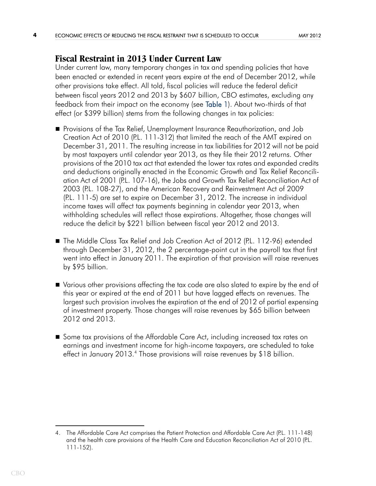### **Fiscal Restraint in 2013 Under Current Law**

<span id="page-3-0"></span>Under current law, many temporary changes in tax and spending policies that have been enacted or extended in recent years expire at the end of December 2012, while other provisions take effect. All told, fiscal policies will reduce the federal deficit between fiscal years 2012 and 2013 by \$607 billion, CBO estimates, excluding any feedback from their impact on the economy (see [Table 1](#page-11-0)). About two-thirds of that effect (or \$399 billion) stems from the following changes in tax policies:

- **Provisions of the Tax Relief, Unemployment Insurance Reauthorization, and Job** Creation Act of 2010 (P.L. 111-312) that limited the reach of the AMT expired on December 31, 2011. The resulting increase in tax liabilities for 2012 will not be paid by most taxpayers until calendar year 2013, as they file their 2012 returns. Other provisions of the 2010 tax act that extended the lower tax rates and expanded credits and deductions originally enacted in the Economic Growth and Tax Relief Reconciliation Act of 2001 (P.L. 107-16), the Jobs and Growth Tax Relief Reconciliation Act of 2003 (P.L. 108-27), and the American Recovery and Reinvestment Act of 2009 (P.L. 111-5) are set to expire on December 31, 2012. The increase in individual income taxes will affect tax payments beginning in calendar year 2013, when withholding schedules will reflect those expirations. Altogether, those changes will reduce the deficit by \$221 billion between fiscal year 2012 and 2013.
- The Middle Class Tax Relief and Job Creation Act of 2012 (P.L. 112-96) extended through December 31, 2012, the 2 percentage-point cut in the payroll tax that first went into effect in January 2011. The expiration of that provision will raise revenues by \$95 billion.
- Various other provisions affecting the tax code are also slated to expire by the end of this year or expired at the end of 2011 but have lagged effects on revenues. The largest such provision involves the expiration at the end of 2012 of partial expensing of investment property. Those changes will raise revenues by \$65 billion between 2012 and 2013.
- Some tax provisions of the Affordable Care Act, including increased tax rates on earnings and investment income for high-income taxpayers, are scheduled to take effect in January 2013.<sup>4</sup> Those provisions will raise revenues by \$18 billion.

<sup>4.</sup> The Affordable Care Act comprises the Patient Protection and Affordable Care Act (P.L. 111-148) and the health care provisions of the Health Care and Education Reconciliation Act of 2010 (P.L. 111-152).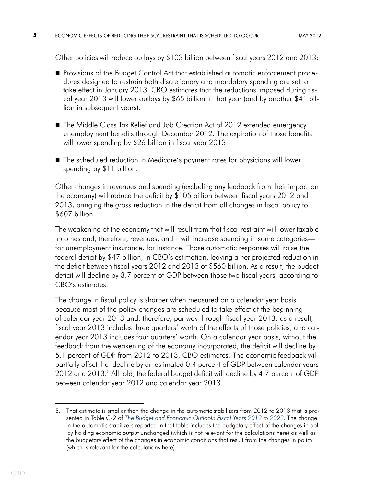Other policies will reduce outlays by \$103 billion between fiscal years 2012 and 2013:

- Provisions of the Budget Control Act that established automatic enforcement procedures designed to restrain both discretionary and mandatory spending are set to take effect in January 2013. CBO estimates that the reductions imposed during fiscal year 2013 will lower outlays by \$65 billion in that year (and by another \$41 billion in subsequent years).
- The Middle Class Tax Relief and Job Creation Act of 2012 extended emergency unemployment benefits through December 2012. The expiration of those benefits will lower spending by \$26 billion in fiscal year 2013.
- The scheduled reduction in Medicare's payment rates for physicians will lower spending by \$11 billion.

Other changes in revenues and spending (excluding any feedback from their impact on the economy) will reduce the deficit by \$105 billion between fiscal years 2012 and 2013, bringing the *gross* reduction in the deficit from all changes in fiscal policy to \$607 billion.

The weakening of the economy that will result from that fiscal restraint will lower taxable incomes and, therefore, revenues, and it will increase spending in some categories for unemployment insurance, for instance. Those automatic responses will raise the federal deficit by \$47 billion, in CBO's estimation, leaving a *net* projected reduction in the deficit between fiscal years 2012 and 2013 of \$560 billion. As a result, the budget deficit will decline by 3.7 percent of GDP between those two fiscal years, according to CBO's estimates.

The change in fiscal policy is sharper when measured on a calendar year basis because most of the policy changes are scheduled to take effect at the beginning of calendar year 2013 and, therefore, partway through fiscal year 2013; as a result, fiscal year 2013 includes three quarters' worth of the effects of those policies, and calendar year 2013 includes four quarters' worth. On a calendar year basis, without the feedback from the weakening of the economy incorporated, the deficit will decline by 5.1 percent of GDP from 2012 to 2013, CBO estimates. The economic feedback will partially offset that decline by an estimated 0.4 percent of GDP between calendar years 2012 and 2013.<sup>5</sup> All told, the federal budget deficit will decline by 4.7 percent of GDP between calendar year 2012 and calendar year 2013.

<sup>5.</sup> That estimate is smaller than the change in the automatic stabilizers from 2012 to 2013 that is presented in Table C-2 of *[The Budget and Economic Outlook: Fiscal Years 2012 to 2022](http://www.cbo.gov/publication/42905)*. The change in the automatic stabilizers reported in that table includes the budgetary effect of the changes in policy holding economic output unchanged (which is not relevant for the calculations here) as well as the budgetary effect of the changes in economic conditions that result from the changes in policy (which is relevant for the calculations here).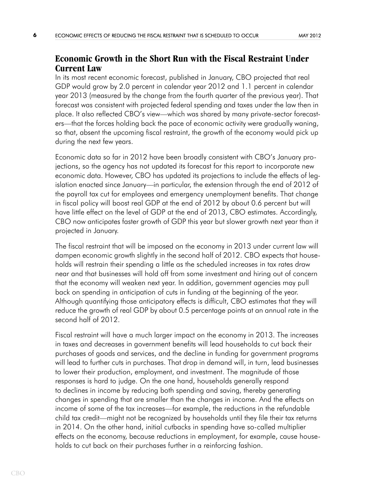### **Economic Growth in the Short Run with the Fiscal Restraint Under Current Law**

In its most recent economic forecast, published in January, CBO projected that real GDP would grow by 2.0 percent in calendar year 2012 and 1.1 percent in calendar year 2013 (measured by the change from the fourth quarter of the previous year). That forecast was consistent with projected federal spending and taxes under the law then in place. It also reflected CBO's view—which was shared by many private-sector forecasters—that the forces holding back the pace of economic activity were gradually waning, so that, absent the upcoming fiscal restraint, the growth of the economy would pick up during the next few years.

Economic data so far in 2012 have been broadly consistent with CBO's January projections, so the agency has not updated its forecast for this report to incorporate new economic data. However, CBO has updated its projections to include the effects of legislation enacted since January—in particular, the extension through the end of 2012 of the payroll tax cut for employees and emergency unemployment benefits. That change in fiscal policy will boost real GDP at the end of 2012 by about 0.6 percent but will have little effect on the level of GDP at the end of 2013, CBO estimates. Accordingly, CBO now anticipates faster growth of GDP this year but slower growth next year than it projected in January.

The fiscal restraint that will be imposed on the economy in 2013 under current law will dampen economic growth slightly in the second half of 2012. CBO expects that households will restrain their spending a little as the scheduled increases in tax rates draw near and that businesses will hold off from some investment and hiring out of concern that the economy will weaken next year. In addition, government agencies may pull back on spending in anticipation of cuts in funding at the beginning of the year. Although quantifying those anticipatory effects is difficult, CBO estimates that they will reduce the growth of real GDP by about 0.5 percentage points at an annual rate in the second half of 2012.

Fiscal restraint will have a much larger impact on the economy in 2013. The increases in taxes and decreases in government benefits will lead households to cut back their purchases of goods and services, and the decline in funding for government programs will lead to further cuts in purchases. That drop in demand will, in turn, lead businesses to lower their production, employment, and investment. The magnitude of those responses is hard to judge. On the one hand, households generally respond to declines in income by reducing both spending and saving, thereby generating changes in spending that are smaller than the changes in income. And the effects on income of some of the tax increases—for example, the reductions in the refundable child tax credit—might not be recognized by households until they file their tax returns in 2014. On the other hand, initial cutbacks in spending have so-called multiplier effects on the economy, because reductions in employment, for example, cause households to cut back on their purchases further in a reinforcing fashion.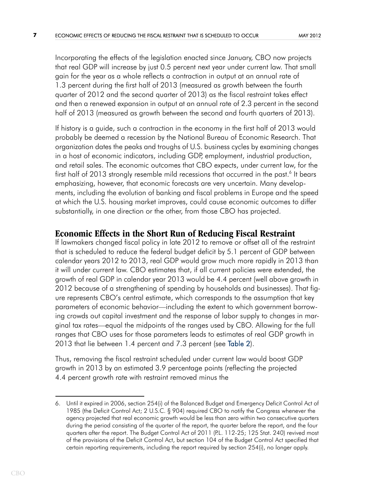Incorporating the effects of the legislation enacted since January, CBO now projects that real GDP will increase by just 0.5 percent next year under current law. That small gain for the year as a whole reflects a contraction in output at an annual rate of 1.3 percent during the first half of 2013 (measured as growth between the fourth quarter of 2012 and the second quarter of 2013) as the fiscal restraint takes effect and then a renewed expansion in output at an annual rate of 2.3 percent in the second half of 2013 (measured as growth between the second and fourth quarters of 2013).

If history is a guide, such a contraction in the economy in the first half of 2013 would probably be deemed a recession by the National Bureau of Economic Research. That organization dates the peaks and troughs of U.S. business cycles by examining changes in a host of economic indicators, including GDP, employment, industrial production, and retail sales. The economic outcomes that CBO expects, under current law, for the first half of 2013 strongly resemble mild recessions that occurred in the past.<sup>6</sup> It bears emphasizing, however, that economic forecasts are very uncertain. Many developments, including the evolution of banking and fiscal problems in Europe and the speed at which the U.S. housing market improves, could cause economic outcomes to differ substantially, in one direction or the other, from those CBO has projected.

### **Economic Effects in the Short Run of Reducing Fiscal Restraint**

<span id="page-6-0"></span>If lawmakers changed fiscal policy in late 2012 to remove or offset all of the restraint that is scheduled to reduce the federal budget deficit by 5.1 percent of GDP between calendar years 2012 to 2013, real GDP would grow much more rapidly in 2013 than it will under current law. CBO estimates that, if all current policies were extended, the growth of real GDP in calendar year 2013 would be 4.4 percent (well above growth in 2012 because of a strengthening of spending by households and businesses). That figure represents CBO's central estimate, which corresponds to the assumption that key parameters of economic behavior—including the extent to which government borrowing crowds out capital investment and the response of labor supply to changes in marginal tax rates—equal the midpoints of the ranges used by CBO. Allowing for the full ranges that CBO uses for those parameters leads to estimates of real GDP growth in 2013 that lie between 1.4 percent and 7.3 percent (see [Table 2\)](#page-12-0).

Thus, removing the fiscal restraint scheduled under current law would boost GDP growth in 2013 by an estimated 3.9 percentage points (reflecting the projected 4.4 percent growth rate with restraint removed minus the

<sup>6.</sup> Until it expired in 2006, section 254(i) of the Balanced Budget and Emergency Deficit Control Act of 1985 (the Deficit Control Act; 2 U.S.C. § 904) required CBO to notify the Congress whenever the agency projected that real economic growth would be less than zero within two consecutive quarters during the period consisting of the quarter of the report, the quarter before the report, and the four quarters after the report. The Budget Control Act of 2011 (P.L. 112-25; 125 Stat. 240) revived most of the provisions of the Deficit Control Act, but section 104 of the Budget Control Act specified that certain reporting requirements, including the report required by section 254(i), no longer apply.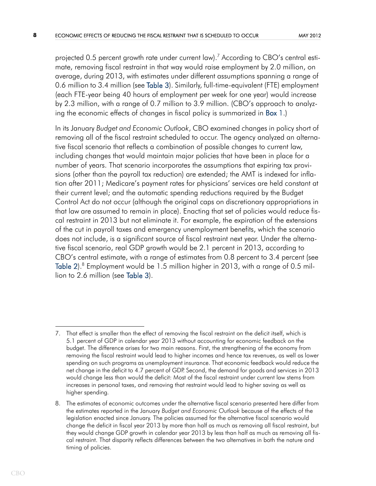<span id="page-7-1"></span>projected 0.5 percent growth rate under current  $\text{law}$ ).<sup>7</sup> According to CBO's central estimate, removing fiscal restraint in that way would raise employment by 2.0 million, on average, during 2013, with estimates under different assumptions spanning a range of 0.6 million to 3.4 million (see [Table 3](#page-13-0)). Similarly, full-time-equivalent (FTE) employment (each FTE-year being 40 hours of employment per week for one year) would increase by 2.3 million, with a range of 0.7 million to 3.9 million. (CBO's approach to analyz-ing the economic effects of changes in fiscal policy is summarized in [Box 1](#page-14-0).)

<span id="page-7-0"></span>In its January *Budget and Economic Outlook*, CBO examined changes in policy short of removing all of the fiscal restraint scheduled to occur. The agency analyzed an alternative fiscal scenario that reflects a combination of possible changes to current law, including changes that would maintain major policies that have been in place for a number of years. That scenario incorporates the assumptions that expiring tax provisions (other than the payroll tax reduction) are extended; the AMT is indexed for inflation after 2011; Medicare's payment rates for physicians' services are held constant at their current level; and the automatic spending reductions required by the Budget Control Act do not occur (although the original caps on discretionary appropriations in that law are assumed to remain in place). Enacting that set of policies would reduce fiscal restraint in 2013 but not eliminate it. For example, the expiration of the extensions of the cut in payroll taxes and emergency unemployment benefits, which the scenario does not include, is a significant source of fiscal restraint next year. Under the alternative fiscal scenario, real GDP growth would be 2.1 percent in 2013, according to CBO's central estimate, with a range of estimates from 0.8 percent to 3.4 percent (see [Table 2\)](#page-12-0). $8$  Employment would be 1.5 million higher in 2013, with a range of 0.5 million to 2.6 million (see [Table 3\)](#page-13-0).

<sup>7.</sup> That effect is smaller than the effect of removing the fiscal restraint on the deficit itself, which is 5.1 percent of GDP in calendar year 2013 without accounting for economic feedback on the budget. The difference arises for two main reasons. First, the strengthening of the economy from removing the fiscal restraint would lead to higher incomes and hence tax revenues, as well as lower spending on such programs as unemployment insurance. That economic feedback would reduce the net change in the deficit to 4.7 percent of GDP. Second, the demand for goods and services in 2013 would change less than would the deficit: Most of the fiscal restraint under current law stems from increases in personal taxes, and removing that restraint would lead to higher saving as well as higher spending.

<sup>8.</sup> The estimates of economic outcomes under the alternative fiscal scenario presented here differ from the estimates reported in the January *Budget and Economic Outlook* because of the effects of the legislation enacted since January. The policies assumed for the alternative fiscal scenario would change the deficit in fiscal year 2013 by more than half as much as removing all fiscal restraint, but they would change GDP growth in calendar year 2013 by less than half as much as removing all fiscal restraint. That disparity reflects differences between the two alternatives in both the nature and timing of policies.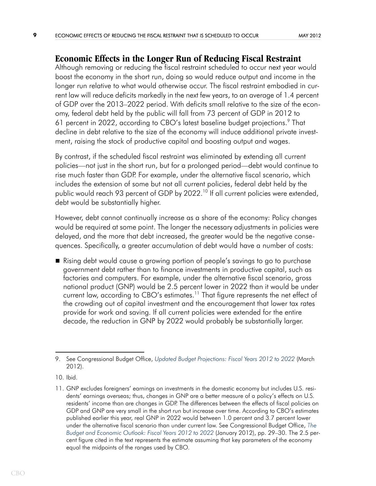### **Economic Effects in the Longer Run of Reducing Fiscal Restraint**

Although removing or reducing the fiscal restraint scheduled to occur next year would boost the economy in the short run, doing so would reduce output and income in the longer run relative to what would otherwise occur. The fiscal restraint embodied in current law will reduce deficits markedly in the next few years, to an average of 1.4 percent of GDP over the 2013–2022 period. With deficits small relative to the size of the economy, federal debt held by the public will fall from 73 percent of GDP in 2012 to 61 percent in 2022, according to CBO's latest baseline budget projections.<sup>9</sup> That decline in debt relative to the size of the economy will induce additional private investment, raising the stock of productive capital and boosting output and wages.

By contrast, if the scheduled fiscal restraint was eliminated by extending all current policies—not just in the short run, but for a prolonged period—debt would continue to rise much faster than GDP. For example, under the alternative fiscal scenario, which includes the extension of some but not all current policies, federal debt held by the public would reach 93 percent of GDP by 2022.<sup>10</sup> If all current policies were extended, debt would be substantially higher.

However, debt cannot continually increase as a share of the economy: Policy changes would be required at some point. The longer the necessary adjustments in policies were delayed, and the more that debt increased, the greater would be the negative consequences. Specifically, a greater accumulation of debt would have a number of costs:

 Rising debt would cause a growing portion of people's savings to go to purchase government debt rather than to finance investments in productive capital, such as factories and computers. For example, under the alternative fiscal scenario, gross national product (GNP) would be 2.5 percent lower in 2022 than it would be under current law, according to CBO's estimates.<sup>11</sup> That figure represents the net effect of the crowding out of capital investment and the encouragement that lower tax rates provide for work and saving. If all current policies were extended for the entire decade, the reduction in GNP by 2022 would probably be substantially larger.

<sup>9.</sup> See Congressional Budget Office, *[Updated Budget Projections: Fiscal Years 2012 to 2022](http://www.cbo.gov/publication/43119)* (March 2012).

<sup>10.</sup> Ibid.

<sup>11.</sup> GNP excludes foreigners' earnings on investments in the domestic economy but includes U.S. residents' earnings overseas; thus, changes in GNP are a better measure of a policy's effects on U.S. residents' income than are changes in GDP. The differences between the effects of fiscal policies on GDP and GNP are very small in the short run but increase over time. According to CBO's estimates published earlier this year, real GNP in 2022 would between 1.0 percent and 3.7 percent lower under the alternative fiscal scenario than under current law. See Congressional Budget Office, *T[he](http://www.cbo.gov/publication/42905)  [Budget and Economic Outlook: Fiscal Years 2012 to 2022](http://www.cbo.gov/publication/42905)* (January 2012), pp. 29–30. The 2.5 percent figure cited in the text represents the estimate assuming that key parameters of the economy equal the midpoints of the ranges used by CBO.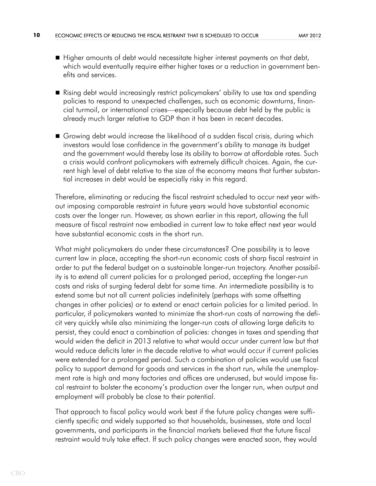- Higher amounts of debt would necessitate higher interest payments on that debt, which would eventually require either higher taxes or a reduction in government benefits and services.
- Rising debt would increasingly restrict policymakers' ability to use tax and spending policies to respond to unexpected challenges, such as economic downturns, financial turmoil, or international crises—especially because debt held by the public is already much larger relative to GDP than it has been in recent decades.
- Growing debt would increase the likelihood of a sudden fiscal crisis, during which investors would lose confidence in the government's ability to manage its budget and the government would thereby lose its ability to borrow at affordable rates. Such a crisis would confront policymakers with extremely difficult choices. Again, the current high level of debt relative to the size of the economy means that further substantial increases in debt would be especially risky in this regard.

Therefore, eliminating or reducing the fiscal restraint scheduled to occur next year without imposing comparable restraint in future years would have substantial economic costs over the longer run. However, as shown earlier in this report, allowing the full measure of fiscal restraint now embodied in current law to take effect next year would have substantial economic costs in the short run.

What might policymakers do under these circumstances? One possibility is to leave current law in place, accepting the short-run economic costs of sharp fiscal restraint in order to put the federal budget on a sustainable longer-run trajectory. Another possibility is to extend all current policies for a prolonged period, accepting the longer-run costs and risks of surging federal debt for some time. An intermediate possibility is to extend some but not all current policies indefinitely (perhaps with some offsetting changes in other policies) or to extend or enact certain policies for a limited period. In particular, if policymakers wanted to minimize the short-run costs of narrowing the deficit very quickly while also minimizing the longer-run costs of allowing large deficits to persist, they could enact a combination of policies: changes in taxes and spending that would widen the deficit in 2013 relative to what would occur under current law but that would reduce deficits later in the decade relative to what would occur if current policies were extended for a prolonged period. Such a combination of policies would use fiscal policy to support demand for goods and services in the short run, while the unemployment rate is high and many factories and offices are underused, but would impose fiscal restraint to bolster the economy's production over the longer run, when output and employment will probably be close to their potential.

That approach to fiscal policy would work best if the future policy changes were sufficiently specific and widely supported so that households, businesses, state and local governments, and participants in the financial markets believed that the future fiscal restraint would truly take effect. If such policy changes were enacted soon, they would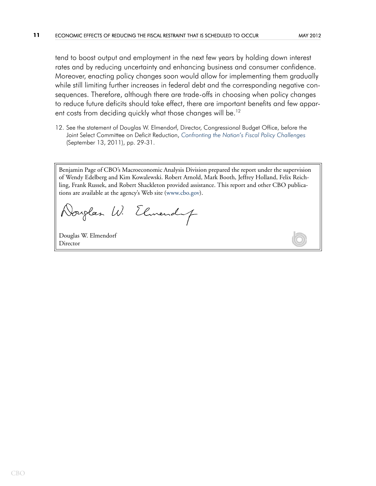tend to boost output and employment in the next few years by holding down interest rates and by reducing uncertainty and enhancing business and consumer confidence. Moreover, enacting policy changes soon would allow for implementing them gradually while still limiting further increases in federal debt and the corresponding negative consequences. Therefore, although there are trade-offs in choosing when policy changes to reduce future deficits should take effect, there are important benefits and few appar-ent costs from deciding quickly what those changes will be.<sup>[12](#page-10-0)</sup>

<span id="page-10-0"></span>12. See the statement of Douglas W. Elmendorf, Director, Congressional Budget Office, before the Joint Select Committee on Deficit Reduction, *[Confronting the Nation's Fiscal Policy Challenges](http://www.cbo.gov/publication/42761)* (September 13, 2011), pp. 29-31.

Benjamin Page of CBO's Macroeconomic Analysis Division prepared the report under the supervision of Wendy Edelberg and Kim Kowalewski. Robert Arnold, Mark Booth, Jeffrey Holland, Felix Reichling, Frank Russek, and Robert Shackleton provided assistance. This report and other CBO publications are available at the agency's Web site ([www.cbo.gov\)](http://www.cbo.gov).

Vouglas W. Elmendaf

Douglas W. Elmendorf Director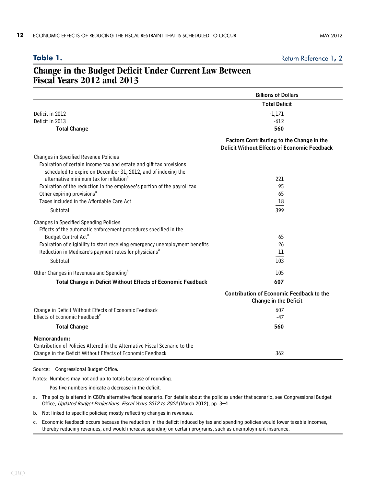### <span id="page-11-0"></span>Table 1. **Table 1.** [Return Reference 1](#page-3-0), [2](#page-14-1)

### **Change in the Budget Deficit Under Current Law Between Fiscal Years 2012 and 2013**

|                                                                                                            | <b>Billions of Dollars</b>                                                                       |
|------------------------------------------------------------------------------------------------------------|--------------------------------------------------------------------------------------------------|
|                                                                                                            | <b>Total Deficit</b>                                                                             |
| Deficit in 2012                                                                                            | $-1,171$                                                                                         |
| Deficit in 2013                                                                                            | $-612$                                                                                           |
| <b>Total Change</b>                                                                                        | 560                                                                                              |
|                                                                                                            | Factors Contributing to the Change in the<br><b>Deficit Without Effects of Economic Feedback</b> |
| Changes in Specified Revenue Policies                                                                      |                                                                                                  |
| Expiration of certain income tax and estate and gift tax provisions                                        |                                                                                                  |
| scheduled to expire on December 31, 2012, and of indexing the                                              |                                                                                                  |
| alternative minimum tax for inflation <sup>a</sup>                                                         | 221                                                                                              |
| Expiration of the reduction in the employee's portion of the payroll tax                                   | 95                                                                                               |
| Other expiring provisions <sup>a</sup>                                                                     | 65                                                                                               |
| Taxes included in the Affordable Care Act                                                                  | 18                                                                                               |
| Subtotal                                                                                                   | 399                                                                                              |
| Changes in Specified Spending Policies<br>Effects of the automatic enforcement procedures specified in the |                                                                                                  |
| Budget Control Act <sup>a</sup>                                                                            | 65                                                                                               |
| Expiration of eligibility to start receiving emergency unemployment benefits                               | 26                                                                                               |
| Reduction in Medicare's payment rates for physicians <sup>a</sup>                                          | 11                                                                                               |
| Subtotal                                                                                                   | 103                                                                                              |
| Other Changes in Revenues and Spending <sup>b</sup>                                                        | 105                                                                                              |
| Total Change in Deficit Without Effects of Economic Feedback                                               | 607                                                                                              |
|                                                                                                            | <b>Contribution of Economic Feedback to the</b><br><b>Change in the Deficit</b>                  |
| Change in Deficit Without Effects of Economic Feedback                                                     | 607                                                                                              |
| Effects of Economic Feedback <sup>c</sup>                                                                  | -47                                                                                              |
| <b>Total Change</b>                                                                                        | 560                                                                                              |
| Memorandum:                                                                                                |                                                                                                  |
| Contribution of Policies Altered in the Alternative Fiscal Scenario to the                                 |                                                                                                  |
| Change in the Deficit Without Effects of Economic Feedback                                                 | 362                                                                                              |
| Congressional Budget Office.<br>Source:                                                                    |                                                                                                  |

Notes: Numbers may not add up to totals because of rounding.

Positive numbers indicate a decrease in the deficit.

- a. The policy is altered in CBO's alternative fiscal scenario. For details about the policies under that scenario, see Congressional Budget Office, Updated Budget Projections: Fiscal Years 2012 to 2022 (March 2012), pp. 3-4.
- b. Not linked to specific policies; mostly reflecting changes in revenues.
- c. Economic feedback occurs because the reduction in the deficit induced by tax and spending policies would lower taxable incomes, thereby reducing revenues, and would increase spending on certain programs, such as unemployment insurance.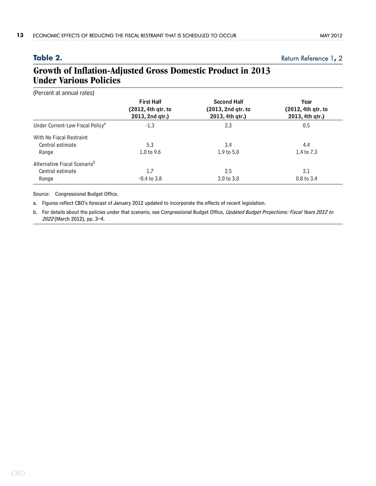### <span id="page-12-0"></span>Table 2. [Return Reference 1](#page-6-0), [2](#page-7-0)

### **Growth of Inflation-Adjusted Gross Domestic Product in 2013 Under Various Policies**

| (Percent at annual rates)                    |                                                            |                                                             |                                               |
|----------------------------------------------|------------------------------------------------------------|-------------------------------------------------------------|-----------------------------------------------|
|                                              | <b>First Half</b><br>(2012, 4th qtr. to<br>2013, 2nd qtr.) | <b>Second Half</b><br>(2013, 2nd qtr. to<br>2013, 4th qtr.) | Year<br>(2012, 4th qtr. to<br>2013, 4th qtr.) |
| Under Current-Law Fiscal Policy <sup>a</sup> | $-1.3$                                                     | 2.3                                                         | 0.5                                           |
| With No Fiscal Restraint                     |                                                            |                                                             |                                               |
| Central estimate                             | 5.3                                                        | 3.4                                                         | 4.4                                           |
| Range                                        | 1.0 to $9.6$                                               | $1.9$ to $5.0$                                              | 1.4 to 7.3                                    |
| Alternative Fiscal Scenario <sup>b</sup>     |                                                            |                                                             |                                               |
| Central estimate                             | 1.7                                                        | 2.5                                                         | 2.1                                           |
| Range                                        | $-0.4$ to $3.8$                                            | 2.0 t0 3.0                                                  | 0.8 to 3.4                                    |

Source: Congressional Budget Office.

a. Figures reflect CBO's forecast of January 2012 updated to incorporate the effects of recent legislation.

b. For details about the policies under that scenario, see Congressional Budget Office, Updated Budget Projections: Fiscal Years 2012 to <sup>2022</sup> (March 2012), pp. 3–4.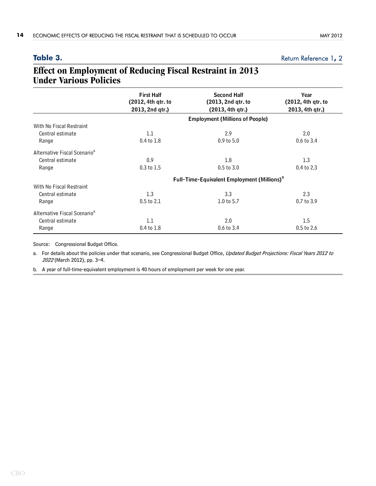<span id="page-13-0"></span>Table 3. [Return Reference 1](#page-7-1), [2](#page-7-0)

### **Effect on Employment of Reducing Fiscal Restraint in 2013 Under Various Policies**

|                                          | <b>First Half</b>                                       | <b>Second Half</b>                     | Year                                  |  |
|------------------------------------------|---------------------------------------------------------|----------------------------------------|---------------------------------------|--|
|                                          | (2012, 4th qtr. to<br>2013, 2nd qtr.)                   | (2013, 2nd qtr. to<br>(2013, 4th gtr.) | (2012, 4th qtr. to<br>2013, 4th qtr.) |  |
|                                          |                                                         |                                        |                                       |  |
|                                          | <b>Employment (Millions of People)</b>                  |                                        |                                       |  |
| With No Fiscal Restraint                 |                                                         |                                        |                                       |  |
| Central estimate                         | 1.1                                                     | 2.9                                    | 2.0                                   |  |
| Range                                    | 0.4 to 1.8                                              | $0.9$ to $5.0$                         | $0.6$ to $3.4$                        |  |
| Alternative Fiscal Scenario <sup>a</sup> |                                                         |                                        |                                       |  |
| Central estimate                         | 0.9                                                     | 1.8                                    | 1.3                                   |  |
| Range                                    | 0.3 to 1.5                                              | $0.5$ to $3.0$                         | 0.4 to 2.3                            |  |
|                                          | Full-Time-Equivalent Employment (Millions) <sup>b</sup> |                                        |                                       |  |
| With No Fiscal Restraint                 |                                                         |                                        |                                       |  |
| Central estimate                         | 1.3                                                     | 3.3                                    | 2.3                                   |  |
| Range                                    | 0.5 to 2.1                                              | 1.0 to 5.7                             | 0.7 to 3.9                            |  |
| Alternative Fiscal Scenario <sup>a</sup> |                                                         |                                        |                                       |  |
| Central estimate                         | 1.1                                                     | 2.0                                    | 1.5                                   |  |
| Range                                    | 0.4 to 1.8                                              | $0.6 \text{ to } 3.4$                  | $0.5$ to 2.6                          |  |

Source: Congressional Budget Office.

a. For details about the policies under that scenario, see Congressional Budget Office, Updated Budget Projections: Fiscal Years 2012 to <sup>2022</sup> (March 2012), pp. 3–4.

b. A year of full-time-equivalent employment is 40 hours of employment per week for one year.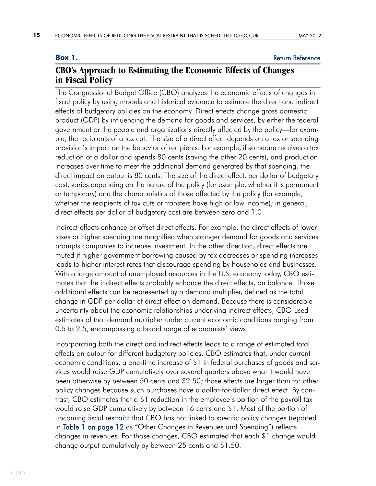### <span id="page-14-0"></span>**Box 1.** [Return Reference](#page-7-1)

### **CBO's Approach to Estimating the Economic Effects of Changes in Fiscal Policy**

The Congressional Budget Office (CBO) analyzes the economic effects of changes in fiscal policy by using models and historical evidence to estimate the direct and indirect effects of budgetary policies on the economy. Direct effects change gross domestic product (GDP) by influencing the demand for goods and services, by either the federal government or the people and organizations directly affected by the policy—for example, the recipients of a tax cut. The size of a direct effect depends on a tax or spending provision's impact on the behavior of recipients. For example, if someone receives a tax reduction of a dollar and spends 80 cents (saving the other 20 cents), and production increases over time to meet the additional demand generated by that spending, the direct impact on output is 80 cents. The size of the direct effect, per dollar of budgetary cost, varies depending on the nature of the policy (for example, whether it is permanent or temporary) and the characteristics of those affected by the policy (for example, whether the recipients of tax cuts or transfers have high or low income); in general, direct effects per dollar of budgetary cost are between zero and 1.0.

Indirect effects enhance or offset direct effects. For example, the direct effects of lower taxes or higher spending are magnified when stronger demand for goods and services prompts companies to increase investment. In the other direction, direct effects are muted if higher government borrowing caused by tax decreases or spending increases leads to higher interest rates that discourage spending by households and businesses. With a large amount of unemployed resources in the U.S. economy today, CBO estimates that the indirect effects probably enhance the direct effects, on balance. Those additional effects can be represented by a demand multiplier, defined as the total change in GDP per dollar of direct effect on demand. Because there is considerable uncertainty about the economic relationships underlying indirect effects, CBO used estimates of that demand multiplier under current economic conditions ranging from 0.5 to 2.5, encompassing a broad range of economists' views.

<span id="page-14-1"></span>Incorporating both the direct and indirect effects leads to a range of estimated total effects on output for different budgetary policies. CBO estimates that, under current economic conditions, a one-time increase of \$1 in federal purchases of goods and services would raise GDP cumulatively over several quarters above what it would have been otherwise by between 50 cents and \$2.50; those effects are larger than for other policy changes because such purchases have a dollar-for-dollar direct effect. By contrast, CBO estimates that a \$1 reduction in the employee's portion of the payroll tax would raise GDP cumulatively by between 16 cents and \$1. Most of the portion of upcoming fiscal restraint that CBO has not linked to specific policy changes (reported in [Table 1 on page 12](#page-11-0) as "Other Changes in Revenues and Spending") reflects changes in revenues. For those changes, CBO estimated that each \$1 change would change output cumulatively by between 25 cents and \$1.50.